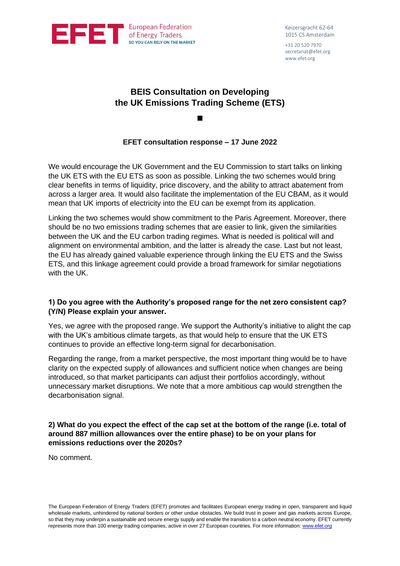

+31 20 520 7970 secretariat@efet.org www.efet.org

# **BEIS Consultation on Developing the UK Emissions Trading Scheme (ETS)**

◼

# **EFET consultation response – 17 June 2022**

We would encourage the UK Government and the EU Commission to start talks on linking the UK ETS with the EU ETS as soon as possible. Linking the two schemes would bring clear benefits in terms of liquidity, price discovery, and the ability to attract abatement from across a larger area. It would also facilitate the implementation of the EU CBAM, as it would mean that UK imports of electricity into the EU can be exempt from its application.

Linking the two schemes would show commitment to the Paris Agreement. Moreover, there should be no two emissions trading schemes that are easier to link, given the similarities between the UK and the EU carbon trading regimes. What is needed is political will and alignment on environmental ambition, and the latter is already the case. Last but not least, the EU has already gained valuable experience through linking the EU ETS and the Swiss ETS, and this linkage agreement could provide a broad framework for similar negotiations with the UK.

# **1) Do you agree with the Authority's proposed range for the net zero consistent cap? (Y/N) Please explain your answer.**

Yes, we agree with the proposed range. We support the Authority's initiative to alight the cap with the UK's ambitious climate targets, as that would help to ensure that the UK ETS continues to provide an effective long-term signal for decarbonisation.

Regarding the range, from a market perspective, the most important thing would be to have clarity on the expected supply of allowances and sufficient notice when changes are being introduced, so that market participants can adjust their portfolios accordingly, without unnecessary market disruptions. We note that a more ambitious cap would strengthen the decarbonisation signal.

# **2) What do you expect the effect of the cap set at the bottom of the range (i.e. total of around 887 million allowances over the entire phase) to be on your plans for emissions reductions over the 2020s?**

No comment.

The European Federation of Energy Traders (EFET) promotes and facilitates European energy trading in open, transparent and liquid wholesale markets, unhindered by national borders or other undue obstacles. We build trust in power and gas markets across Europe, so that they may underpin a sustainable and secure energy supply and enable the transition to a carbon neutral economy. EFET currently represents more than 100 energy trading companies, active in over 27 European countries. For more information[: www.efet.org](http://www.efet.org/)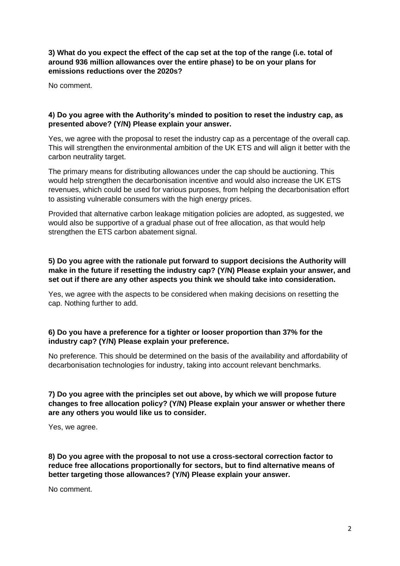**3) What do you expect the effect of the cap set at the top of the range (i.e. total of around 936 million allowances over the entire phase) to be on your plans for emissions reductions over the 2020s?**

No comment.

#### **4) Do you agree with the Authority's minded to position to reset the industry cap, as presented above? (Y/N) Please explain your answer.**

Yes, we agree with the proposal to reset the industry cap as a percentage of the overall cap. This will strengthen the environmental ambition of the UK ETS and will align it better with the carbon neutrality target.

The primary means for distributing allowances under the cap should be auctioning. This would help strengthen the decarbonisation incentive and would also increase the UK ETS revenues, which could be used for various purposes, from helping the decarbonisation effort to assisting vulnerable consumers with the high energy prices.

Provided that alternative carbon leakage mitigation policies are adopted, as suggested, we would also be supportive of a gradual phase out of free allocation, as that would help strengthen the ETS carbon abatement signal.

# **5) Do you agree with the rationale put forward to support decisions the Authority will make in the future if resetting the industry cap? (Y/N) Please explain your answer, and set out if there are any other aspects you think we should take into consideration.**

Yes, we agree with the aspects to be considered when making decisions on resetting the cap. Nothing further to add.

# **6) Do you have a preference for a tighter or looser proportion than 37% for the industry cap? (Y/N) Please explain your preference.**

No preference. This should be determined on the basis of the availability and affordability of decarbonisation technologies for industry, taking into account relevant benchmarks.

**7) Do you agree with the principles set out above, by which we will propose future changes to free allocation policy? (Y/N) Please explain your answer or whether there are any others you would like us to consider.** 

Yes, we agree.

**8) Do you agree with the proposal to not use a cross-sectoral correction factor to reduce free allocations proportionally for sectors, but to find alternative means of better targeting those allowances? (Y/N) Please explain your answer.**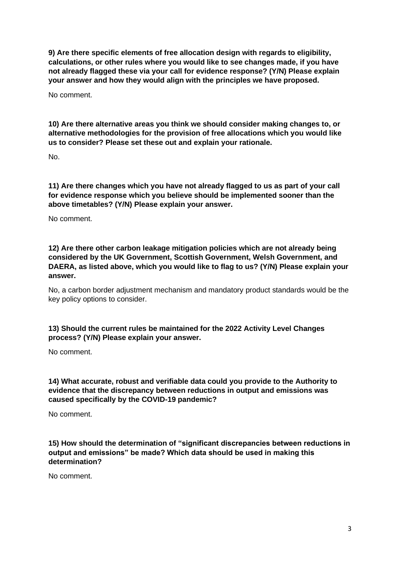**9) Are there specific elements of free allocation design with regards to eligibility, calculations, or other rules where you would like to see changes made, if you have not already flagged these via your call for evidence response? (Y/N) Please explain your answer and how they would align with the principles we have proposed.** 

No comment.

**10) Are there alternative areas you think we should consider making changes to, or alternative methodologies for the provision of free allocations which you would like us to consider? Please set these out and explain your rationale.**

No.

**11) Are there changes which you have not already flagged to us as part of your call for evidence response which you believe should be implemented sooner than the above timetables? (Y/N) Please explain your answer.**

No comment.

**12) Are there other carbon leakage mitigation policies which are not already being considered by the UK Government, Scottish Government, Welsh Government, and DAERA, as listed above, which you would like to flag to us? (Y/N) Please explain your answer.**

No, a carbon border adjustment mechanism and mandatory product standards would be the key policy options to consider.

# **13) Should the current rules be maintained for the 2022 Activity Level Changes process? (Y/N) Please explain your answer.**

No comment.

**14) What accurate, robust and verifiable data could you provide to the Authority to evidence that the discrepancy between reductions in output and emissions was caused specifically by the COVID-19 pandemic?** 

No comment.

**15) How should the determination of "significant discrepancies between reductions in output and emissions" be made? Which data should be used in making this determination?**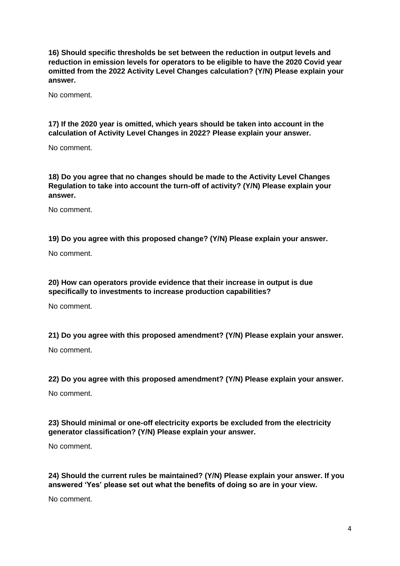**16) Should specific thresholds be set between the reduction in output levels and reduction in emission levels for operators to be eligible to have the 2020 Covid year omitted from the 2022 Activity Level Changes calculation? (Y/N) Please explain your answer.** 

No comment.

# **17) If the 2020 year is omitted, which years should be taken into account in the calculation of Activity Level Changes in 2022? Please explain your answer.**

No comment.

**18) Do you agree that no changes should be made to the Activity Level Changes Regulation to take into account the turn-off of activity? (Y/N) Please explain your answer.**

No comment.

# **19) Do you agree with this proposed change? (Y/N) Please explain your answer.**

No comment.

# **20) How can operators provide evidence that their increase in output is due specifically to investments to increase production capabilities?**

No comment.

# **21) Do you agree with this proposed amendment? (Y/N) Please explain your answer.**

No comment.

#### **22) Do you agree with this proposed amendment? (Y/N) Please explain your answer.**

No comment.

# **23) Should minimal or one-off electricity exports be excluded from the electricity generator classification? (Y/N) Please explain your answer.**

No comment.

# **24) Should the current rules be maintained? (Y/N) Please explain your answer. If you answered 'Yes' please set out what the benefits of doing so are in your view.**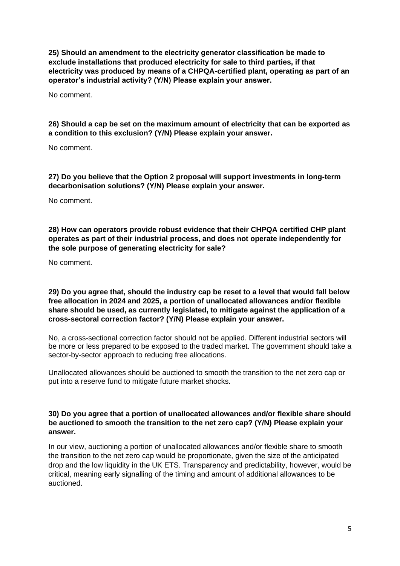**25) Should an amendment to the electricity generator classification be made to exclude installations that produced electricity for sale to third parties, if that electricity was produced by means of a CHPQA-certified plant, operating as part of an operator's industrial activity? (Y/N) Please explain your answer.** 

No comment.

**26) Should a cap be set on the maximum amount of electricity that can be exported as a condition to this exclusion? (Y/N) Please explain your answer.** 

No comment.

**27) Do you believe that the Option 2 proposal will support investments in long-term decarbonisation solutions? (Y/N) Please explain your answer.** 

No comment.

**28) How can operators provide robust evidence that their CHPQA certified CHP plant operates as part of their industrial process, and does not operate independently for the sole purpose of generating electricity for sale?**

No comment.

**29) Do you agree that, should the industry cap be reset to a level that would fall below free allocation in 2024 and 2025, a portion of unallocated allowances and/or flexible share should be used, as currently legislated, to mitigate against the application of a cross-sectoral correction factor? (Y/N) Please explain your answer.**

No, a cross-sectional correction factor should not be applied. Different industrial sectors will be more or less prepared to be exposed to the traded market. The government should take a sector-by-sector approach to reducing free allocations.

Unallocated allowances should be auctioned to smooth the transition to the net zero cap or put into a reserve fund to mitigate future market shocks.

#### **30) Do you agree that a portion of unallocated allowances and/or flexible share should be auctioned to smooth the transition to the net zero cap? (Y/N) Please explain your answer.**

In our view, auctioning a portion of unallocated allowances and/or flexible share to smooth the transition to the net zero cap would be proportionate, given the size of the anticipated drop and the low liquidity in the UK ETS. Transparency and predictability, however, would be critical, meaning early signalling of the timing and amount of additional allowances to be auctioned.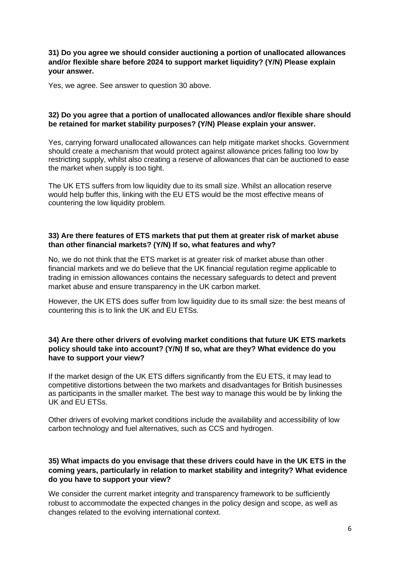#### **31) Do you agree we should consider auctioning a portion of unallocated allowances and/or flexible share before 2024 to support market liquidity? (Y/N) Please explain your answer.**

Yes, we agree. See answer to question 30 above.

## **32) Do you agree that a portion of unallocated allowances and/or flexible share should be retained for market stability purposes? (Y/N) Please explain your answer.**

Yes, carrying forward unallocated allowances can help mitigate market shocks. Government should create a mechanism that would protect against allowance prices falling too low by restricting supply, whilst also creating a reserve of allowances that can be auctioned to ease the market when supply is too tight.

The UK ETS suffers from low liquidity due to its small size. Whilst an allocation reserve would help buffer this, linking with the EU ETS would be the most effective means of countering the low liquidity problem.

#### **33) Are there features of ETS markets that put them at greater risk of market abuse than other financial markets? (Y/N) If so, what features and why?**

No, we do not think that the ETS market is at greater risk of market abuse than other financial markets and we do believe that the UK financial regulation regime applicable to trading in emission allowances contains the necessary safeguards to detect and prevent market abuse and ensure transparency in the UK carbon market.

However, the UK ETS does suffer from low liquidity due to its small size: the best means of countering this is to link the UK and EU ETSs.

## **34) Are there other drivers of evolving market conditions that future UK ETS markets policy should take into account? (Y/N) If so, what are they? What evidence do you have to support your view?**

If the market design of the UK ETS differs significantly from the EU ETS, it may lead to competitive distortions between the two markets and disadvantages for British businesses as participants in the smaller market. The best way to manage this would be by linking the UK and EU ETSs.

Other drivers of evolving market conditions include the availability and accessibility of low carbon technology and fuel alternatives, such as CCS and hydrogen.

#### **35) What impacts do you envisage that these drivers could have in the UK ETS in the coming years, particularly in relation to market stability and integrity? What evidence do you have to support your view?**

We consider the current market integrity and transparency framework to be sufficiently robust to accommodate the expected changes in the policy design and scope, as well as changes related to the evolving international context.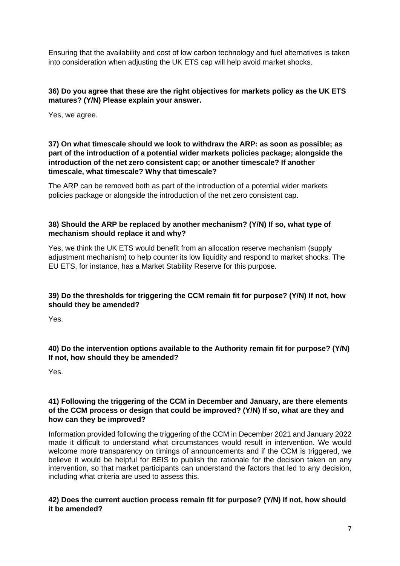Ensuring that the availability and cost of low carbon technology and fuel alternatives is taken into consideration when adjusting the UK ETS cap will help avoid market shocks.

#### **36) Do you agree that these are the right objectives for markets policy as the UK ETS matures? (Y/N) Please explain your answer.**

Yes, we agree.

## **37) On what timescale should we look to withdraw the ARP: as soon as possible; as part of the introduction of a potential wider markets policies package; alongside the introduction of the net zero consistent cap; or another timescale? If another timescale, what timescale? Why that timescale?**

The ARP can be removed both as part of the introduction of a potential wider markets policies package or alongside the introduction of the net zero consistent cap.

# **38) Should the ARP be replaced by another mechanism? (Y/N) If so, what type of mechanism should replace it and why?**

Yes, we think the UK ETS would benefit from an allocation reserve mechanism (supply adjustment mechanism) to help counter its low liquidity and respond to market shocks. The EU ETS, for instance, has a Market Stability Reserve for this purpose.

# **39) Do the thresholds for triggering the CCM remain fit for purpose? (Y/N) If not, how should they be amended?**

Yes.

# **40) Do the intervention options available to the Authority remain fit for purpose? (Y/N) If not, how should they be amended?**

Yes.

# **41) Following the triggering of the CCM in December and January, are there elements of the CCM process or design that could be improved? (Y/N) If so, what are they and how can they be improved?**

Information provided following the triggering of the CCM in December 2021 and January 2022 made it difficult to understand what circumstances would result in intervention. We would welcome more transparency on timings of announcements and if the CCM is triggered, we believe it would be helpful for BEIS to publish the rationale for the decision taken on any intervention, so that market participants can understand the factors that led to any decision, including what criteria are used to assess this.

# **42) Does the current auction process remain fit for purpose? (Y/N) If not, how should it be amended?**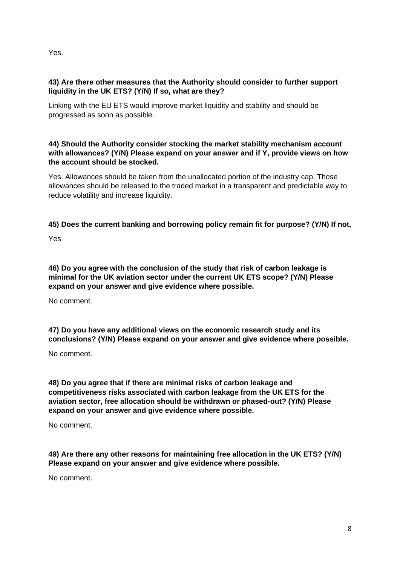Yes.

# **43) Are there other measures that the Authority should consider to further support liquidity in the UK ETS? (Y/N) If so, what are they?**

Linking with the EU ETS would improve market liquidity and stability and should be progressed as soon as possible.

# **44) Should the Authority consider stocking the market stability mechanism account with allowances? (Y/N) Please expand on your answer and if Y, provide views on how the account should be stocked.**

Yes. Allowances should be taken from the unallocated portion of the industry cap. Those allowances should be released to the traded market in a transparent and predictable way to reduce volatility and increase liquidity.

# **45) Does the current banking and borrowing policy remain fit for purpose? (Y/N) If not,**

Yes

**46) Do you agree with the conclusion of the study that risk of carbon leakage is minimal for the UK aviation sector under the current UK ETS scope? (Y/N) Please expand on your answer and give evidence where possible.** 

No comment.

**47) Do you have any additional views on the economic research study and its conclusions? (Y/N) Please expand on your answer and give evidence where possible.** 

No comment.

**48) Do you agree that if there are minimal risks of carbon leakage and competitiveness risks associated with carbon leakage from the UK ETS for the aviation sector, free allocation should be withdrawn or phased-out? (Y/N) Please expand on your answer and give evidence where possible.**

No comment.

**49) Are there any other reasons for maintaining free allocation in the UK ETS? (Y/N) Please expand on your answer and give evidence where possible.**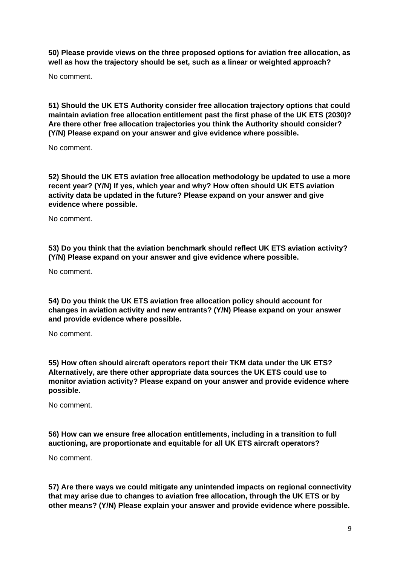**50) Please provide views on the three proposed options for aviation free allocation, as well as how the trajectory should be set, such as a linear or weighted approach?** 

No comment.

**51) Should the UK ETS Authority consider free allocation trajectory options that could maintain aviation free allocation entitlement past the first phase of the UK ETS (2030)? Are there other free allocation trajectories you think the Authority should consider? (Y/N) Please expand on your answer and give evidence where possible.**

No comment.

**52) Should the UK ETS aviation free allocation methodology be updated to use a more recent year? (Y/N) If yes, which year and why? How often should UK ETS aviation activity data be updated in the future? Please expand on your answer and give evidence where possible.** 

No comment.

**53) Do you think that the aviation benchmark should reflect UK ETS aviation activity? (Y/N) Please expand on your answer and give evidence where possible.**

No comment.

**54) Do you think the UK ETS aviation free allocation policy should account for changes in aviation activity and new entrants? (Y/N) Please expand on your answer and provide evidence where possible.** 

No comment.

**55) How often should aircraft operators report their TKM data under the UK ETS? Alternatively, are there other appropriate data sources the UK ETS could use to monitor aviation activity? Please expand on your answer and provide evidence where possible.**

No comment.

**56) How can we ensure free allocation entitlements, including in a transition to full auctioning, are proportionate and equitable for all UK ETS aircraft operators?**

No comment.

**57) Are there ways we could mitigate any unintended impacts on regional connectivity that may arise due to changes to aviation free allocation, through the UK ETS or by other means? (Y/N) Please explain your answer and provide evidence where possible.**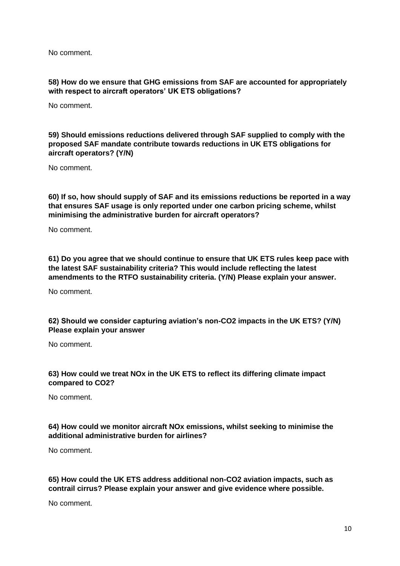## **58) How do we ensure that GHG emissions from SAF are accounted for appropriately with respect to aircraft operators' UK ETS obligations?**

No comment.

## **59) Should emissions reductions delivered through SAF supplied to comply with the proposed SAF mandate contribute towards reductions in UK ETS obligations for aircraft operators? (Y/N)**

No comment.

**60) If so, how should supply of SAF and its emissions reductions be reported in a way that ensures SAF usage is only reported under one carbon pricing scheme, whilst minimising the administrative burden for aircraft operators?** 

No comment.

**61) Do you agree that we should continue to ensure that UK ETS rules keep pace with the latest SAF sustainability criteria? This would include reflecting the latest amendments to the RTFO sustainability criteria. (Y/N) Please explain your answer.**

No comment.

#### **62) Should we consider capturing aviation's non-CO2 impacts in the UK ETS? (Y/N) Please explain your answer**

No comment.

#### **63) How could we treat NOx in the UK ETS to reflect its differing climate impact compared to CO2?**

No comment.

# **64) How could we monitor aircraft NOx emissions, whilst seeking to minimise the additional administrative burden for airlines?**

No comment.

#### **65) How could the UK ETS address additional non-CO2 aviation impacts, such as contrail cirrus? Please explain your answer and give evidence where possible.**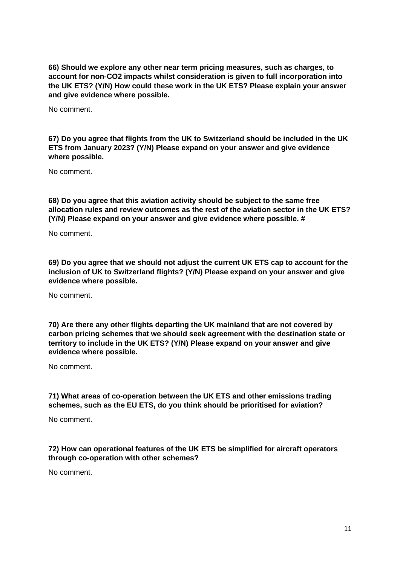**66) Should we explore any other near term pricing measures, such as charges, to account for non-CO2 impacts whilst consideration is given to full incorporation into the UK ETS? (Y/N) How could these work in the UK ETS? Please explain your answer and give evidence where possible.**

No comment.

**67) Do you agree that flights from the UK to Switzerland should be included in the UK ETS from January 2023? (Y/N) Please expand on your answer and give evidence where possible.** 

No comment.

**68) Do you agree that this aviation activity should be subject to the same free allocation rules and review outcomes as the rest of the aviation sector in the UK ETS? (Y/N) Please expand on your answer and give evidence where possible. #**

No comment.

**69) Do you agree that we should not adjust the current UK ETS cap to account for the inclusion of UK to Switzerland flights? (Y/N) Please expand on your answer and give evidence where possible.** 

No comment.

**70) Are there any other flights departing the UK mainland that are not covered by carbon pricing schemes that we should seek agreement with the destination state or territory to include in the UK ETS? (Y/N) Please expand on your answer and give evidence where possible.**

No comment.

**71) What areas of co-operation between the UK ETS and other emissions trading schemes, such as the EU ETS, do you think should be prioritised for aviation?** 

No comment.

**72) How can operational features of the UK ETS be simplified for aircraft operators through co-operation with other schemes?**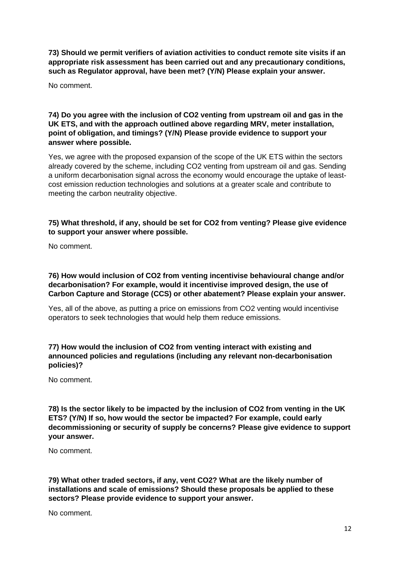**73) Should we permit verifiers of aviation activities to conduct remote site visits if an appropriate risk assessment has been carried out and any precautionary conditions, such as Regulator approval, have been met? (Y/N) Please explain your answer.**

No comment.

## **74) Do you agree with the inclusion of CO2 venting from upstream oil and gas in the UK ETS, and with the approach outlined above regarding MRV, meter installation, point of obligation, and timings? (Y/N) Please provide evidence to support your answer where possible.**

Yes, we agree with the proposed expansion of the scope of the UK ETS within the sectors already covered by the scheme, including CO2 venting from upstream oil and gas. Sending a uniform decarbonisation signal across the economy would encourage the uptake of leastcost emission reduction technologies and solutions at a greater scale and contribute to meeting the carbon neutrality objective.

# **75) What threshold, if any, should be set for CO2 from venting? Please give evidence to support your answer where possible.**

No comment.

## **76) How would inclusion of CO2 from venting incentivise behavioural change and/or decarbonisation? For example, would it incentivise improved design, the use of Carbon Capture and Storage (CCS) or other abatement? Please explain your answer.**

Yes, all of the above, as putting a price on emissions from CO2 venting would incentivise operators to seek technologies that would help them reduce emissions.

# **77) How would the inclusion of CO2 from venting interact with existing and announced policies and regulations (including any relevant non-decarbonisation policies)?**

No comment.

**78) Is the sector likely to be impacted by the inclusion of CO2 from venting in the UK ETS? (Y/N) If so, how would the sector be impacted? For example, could early decommissioning or security of supply be concerns? Please give evidence to support your answer.** 

No comment.

**79) What other traded sectors, if any, vent CO2? What are the likely number of installations and scale of emissions? Should these proposals be applied to these sectors? Please provide evidence to support your answer.**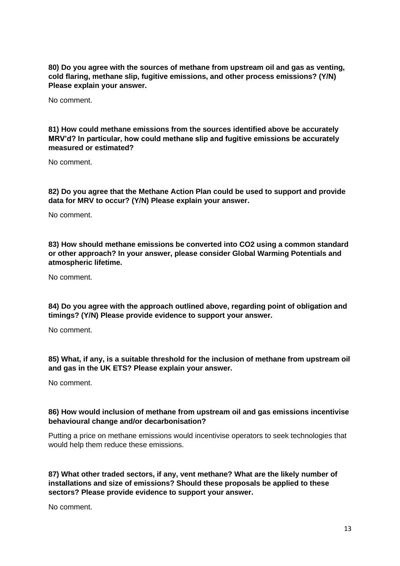**80) Do you agree with the sources of methane from upstream oil and gas as venting, cold flaring, methane slip, fugitive emissions, and other process emissions? (Y/N) Please explain your answer.** 

No comment.

**81) How could methane emissions from the sources identified above be accurately MRV'd? In particular, how could methane slip and fugitive emissions be accurately measured or estimated?** 

No comment.

**82) Do you agree that the Methane Action Plan could be used to support and provide data for MRV to occur? (Y/N) Please explain your answer.** 

No comment.

**83) How should methane emissions be converted into CO2 using a common standard or other approach? In your answer, please consider Global Warming Potentials and atmospheric lifetime.** 

No comment.

**84) Do you agree with the approach outlined above, regarding point of obligation and timings? (Y/N) Please provide evidence to support your answer.** 

No comment.

**85) What, if any, is a suitable threshold for the inclusion of methane from upstream oil and gas in the UK ETS? Please explain your answer.** 

No comment.

#### **86) How would inclusion of methane from upstream oil and gas emissions incentivise behavioural change and/or decarbonisation?**

Putting a price on methane emissions would incentivise operators to seek technologies that would help them reduce these emissions.

**87) What other traded sectors, if any, vent methane? What are the likely number of installations and size of emissions? Should these proposals be applied to these sectors? Please provide evidence to support your answer.**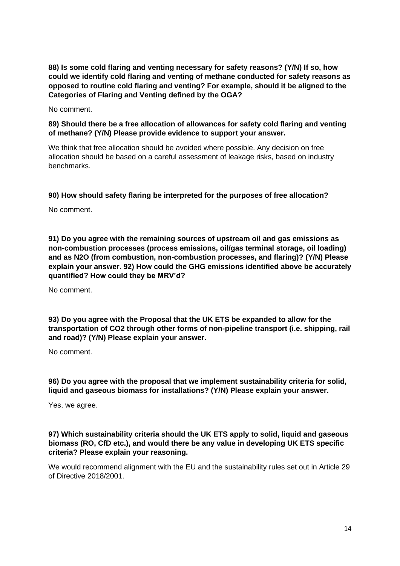**88) Is some cold flaring and venting necessary for safety reasons? (Y/N) If so, how could we identify cold flaring and venting of methane conducted for safety reasons as opposed to routine cold flaring and venting? For example, should it be aligned to the Categories of Flaring and Venting defined by the OGA?** 

No comment.

## **89) Should there be a free allocation of allowances for safety cold flaring and venting of methane? (Y/N) Please provide evidence to support your answer.**

We think that free allocation should be avoided where possible. Any decision on free allocation should be based on a careful assessment of leakage risks, based on industry benchmarks.

#### **90) How should safety flaring be interpreted for the purposes of free allocation?**

No comment.

**91) Do you agree with the remaining sources of upstream oil and gas emissions as non-combustion processes (process emissions, oil/gas terminal storage, oil loading) and as N2O (from combustion, non-combustion processes, and flaring)? (Y/N) Please explain your answer. 92) How could the GHG emissions identified above be accurately quantified? How could they be MRV'd?**

No comment.

**93) Do you agree with the Proposal that the UK ETS be expanded to allow for the transportation of CO2 through other forms of non-pipeline transport (i.e. shipping, rail and road)? (Y/N) Please explain your answer.**

No comment.

# **96) Do you agree with the proposal that we implement sustainability criteria for solid, liquid and gaseous biomass for installations? (Y/N) Please explain your answer.**

Yes, we agree.

## **97) Which sustainability criteria should the UK ETS apply to solid, liquid and gaseous biomass (RO, CfD etc.), and would there be any value in developing UK ETS specific criteria? Please explain your reasoning.**

We would recommend alignment with the EU and the sustainability rules set out in Article 29 of Directive 2018/2001.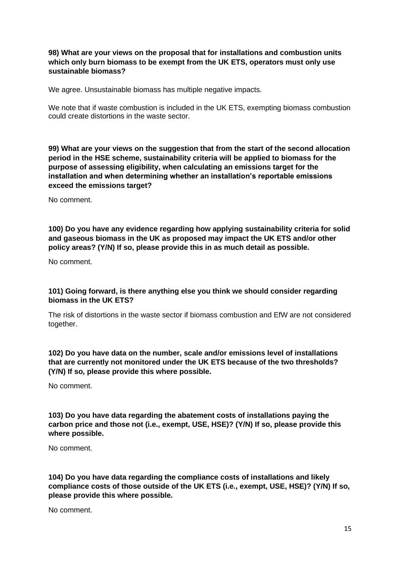#### **98) What are your views on the proposal that for installations and combustion units which only burn biomass to be exempt from the UK ETS, operators must only use sustainable biomass?**

We agree. Unsustainable biomass has multiple negative impacts.

We note that if waste combustion is included in the UK ETS, exempting biomass combustion could create distortions in the waste sector.

**99) What are your views on the suggestion that from the start of the second allocation period in the HSE scheme, sustainability criteria will be applied to biomass for the purpose of assessing eligibility, when calculating an emissions target for the installation and when determining whether an installation's reportable emissions exceed the emissions target?** 

No comment.

**100) Do you have any evidence regarding how applying sustainability criteria for solid and gaseous biomass in the UK as proposed may impact the UK ETS and/or other policy areas? (Y/N) If so, please provide this in as much detail as possible.** 

No comment.

#### **101) Going forward, is there anything else you think we should consider regarding biomass in the UK ETS?**

The risk of distortions in the waste sector if biomass combustion and EfW are not considered together.

**102) Do you have data on the number, scale and/or emissions level of installations that are currently not monitored under the UK ETS because of the two thresholds? (Y/N) If so, please provide this where possible.** 

No comment.

**103) Do you have data regarding the abatement costs of installations paying the carbon price and those not (i.e., exempt, USE, HSE)? (Y/N) If so, please provide this where possible.** 

No comment.

**104) Do you have data regarding the compliance costs of installations and likely compliance costs of those outside of the UK ETS (i.e., exempt, USE, HSE)? (Y/N) If so, please provide this where possible.**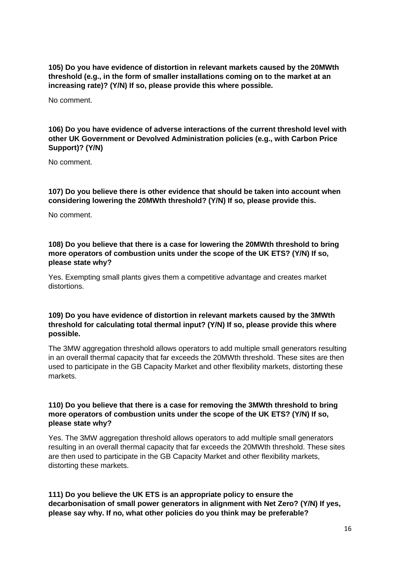**105) Do you have evidence of distortion in relevant markets caused by the 20MWth threshold (e.g., in the form of smaller installations coming on to the market at an increasing rate)? (Y/N) If so, please provide this where possible.** 

No comment.

**106) Do you have evidence of adverse interactions of the current threshold level with other UK Government or Devolved Administration policies (e.g., with Carbon Price Support)? (Y/N)** 

No comment.

**107) Do you believe there is other evidence that should be taken into account when considering lowering the 20MWth threshold? (Y/N) If so, please provide this.** 

No comment.

**108) Do you believe that there is a case for lowering the 20MWth threshold to bring more operators of combustion units under the scope of the UK ETS? (Y/N) If so, please state why?** 

Yes. Exempting small plants gives them a competitive advantage and creates market distortions.

#### **109) Do you have evidence of distortion in relevant markets caused by the 3MWth threshold for calculating total thermal input? (Y/N) If so, please provide this where possible.**

The 3MW aggregation threshold allows operators to add multiple small generators resulting in an overall thermal capacity that far exceeds the 20MWth threshold. These sites are then used to participate in the GB Capacity Market and other flexibility markets, distorting these markets.

#### **110) Do you believe that there is a case for removing the 3MWth threshold to bring more operators of combustion units under the scope of the UK ETS? (Y/N) If so, please state why?**

Yes. The 3MW aggregation threshold allows operators to add multiple small generators resulting in an overall thermal capacity that far exceeds the 20MWth threshold. These sites are then used to participate in the GB Capacity Market and other flexibility markets, distorting these markets.

**111) Do you believe the UK ETS is an appropriate policy to ensure the decarbonisation of small power generators in alignment with Net Zero? (Y/N) If yes, please say why. If no, what other policies do you think may be preferable?**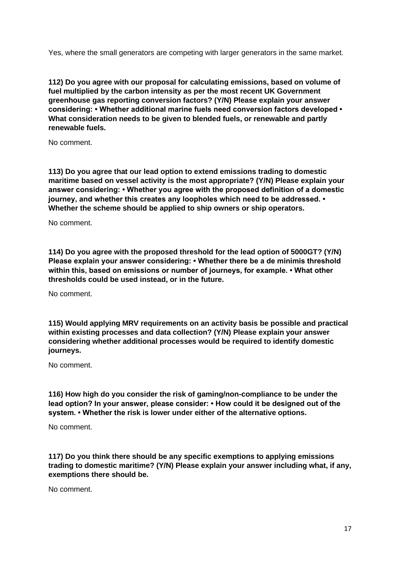Yes, where the small generators are competing with larger generators in the same market.

**112) Do you agree with our proposal for calculating emissions, based on volume of fuel multiplied by the carbon intensity as per the most recent UK Government greenhouse gas reporting conversion factors? (Y/N) Please explain your answer considering: • Whether additional marine fuels need conversion factors developed • What consideration needs to be given to blended fuels, or renewable and partly renewable fuels.**

No comment.

**113) Do you agree that our lead option to extend emissions trading to domestic maritime based on vessel activity is the most appropriate? (Y/N) Please explain your answer considering: • Whether you agree with the proposed definition of a domestic journey, and whether this creates any loopholes which need to be addressed. • Whether the scheme should be applied to ship owners or ship operators.** 

No comment.

**114) Do you agree with the proposed threshold for the lead option of 5000GT? (Y/N) Please explain your answer considering: • Whether there be a de minimis threshold within this, based on emissions or number of journeys, for example. • What other thresholds could be used instead, or in the future.** 

No comment.

**115) Would applying MRV requirements on an activity basis be possible and practical within existing processes and data collection? (Y/N) Please explain your answer considering whether additional processes would be required to identify domestic journeys.** 

No comment.

**116) How high do you consider the risk of gaming/non-compliance to be under the lead option? In your answer, please consider: • How could it be designed out of the system. • Whether the risk is lower under either of the alternative options.** 

No comment.

**117) Do you think there should be any specific exemptions to applying emissions trading to domestic maritime? (Y/N) Please explain your answer including what, if any, exemptions there should be.**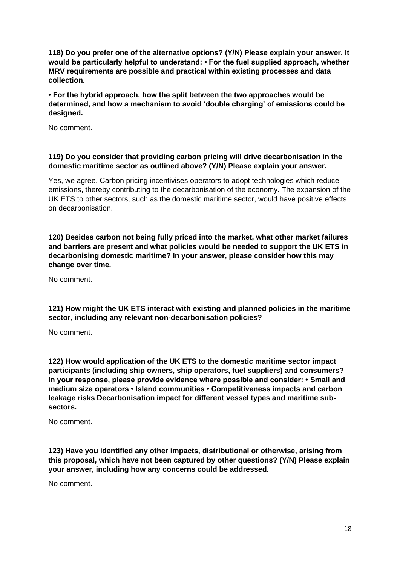**118) Do you prefer one of the alternative options? (Y/N) Please explain your answer. It would be particularly helpful to understand: • For the fuel supplied approach, whether MRV requirements are possible and practical within existing processes and data collection.**

**• For the hybrid approach, how the split between the two approaches would be determined, and how a mechanism to avoid 'double charging' of emissions could be designed.**

No comment.

# **119) Do you consider that providing carbon pricing will drive decarbonisation in the domestic maritime sector as outlined above? (Y/N) Please explain your answer.**

Yes, we agree. Carbon pricing incentivises operators to adopt technologies which reduce emissions, thereby contributing to the decarbonisation of the economy. The expansion of the UK ETS to other sectors, such as the domestic maritime sector, would have positive effects on decarbonisation.

**120) Besides carbon not being fully priced into the market, what other market failures and barriers are present and what policies would be needed to support the UK ETS in decarbonising domestic maritime? In your answer, please consider how this may change over time.** 

No comment.

**121) How might the UK ETS interact with existing and planned policies in the maritime sector, including any relevant non-decarbonisation policies?** 

No comment.

**122) How would application of the UK ETS to the domestic maritime sector impact participants (including ship owners, ship operators, fuel suppliers) and consumers? In your response, please provide evidence where possible and consider: • Small and medium size operators • Island communities • Competitiveness impacts and carbon leakage risks Decarbonisation impact for different vessel types and maritime subsectors.**

No comment.

**123) Have you identified any other impacts, distributional or otherwise, arising from this proposal, which have not been captured by other questions? (Y/N) Please explain your answer, including how any concerns could be addressed.**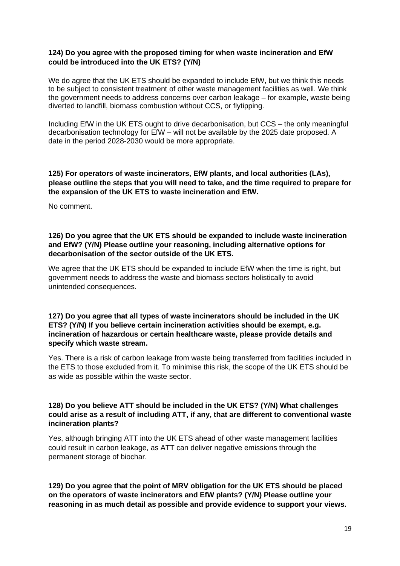#### **124) Do you agree with the proposed timing for when waste incineration and EfW could be introduced into the UK ETS? (Y/N)**

We do agree that the UK ETS should be expanded to include EfW, but we think this needs to be subject to consistent treatment of other waste management facilities as well. We think the government needs to address concerns over carbon leakage – for example, waste being diverted to landfill, biomass combustion without CCS, or flytipping.

Including EfW in the UK ETS ought to drive decarbonisation, but CCS – the only meaningful decarbonisation technology for EfW – will not be available by the 2025 date proposed. A date in the period 2028-2030 would be more appropriate.

## **125) For operators of waste incinerators, EfW plants, and local authorities (LAs), please outline the steps that you will need to take, and the time required to prepare for the expansion of the UK ETS to waste incineration and EfW.**

No comment.

## **126) Do you agree that the UK ETS should be expanded to include waste incineration and EfW? (Y/N) Please outline your reasoning, including alternative options for decarbonisation of the sector outside of the UK ETS.**

We agree that the UK ETS should be expanded to include EfW when the time is right, but government needs to address the waste and biomass sectors holistically to avoid unintended consequences.

#### **127) Do you agree that all types of waste incinerators should be included in the UK ETS? (Y/N) If you believe certain incineration activities should be exempt, e.g. incineration of hazardous or certain healthcare waste, please provide details and specify which waste stream.**

Yes. There is a risk of carbon leakage from waste being transferred from facilities included in the ETS to those excluded from it. To minimise this risk, the scope of the UK ETS should be as wide as possible within the waste sector.

## **128) Do you believe ATT should be included in the UK ETS? (Y/N) What challenges could arise as a result of including ATT, if any, that are different to conventional waste incineration plants?**

Yes, although bringing ATT into the UK ETS ahead of other waste management facilities could result in carbon leakage, as ATT can deliver negative emissions through the permanent storage of biochar.

**129) Do you agree that the point of MRV obligation for the UK ETS should be placed on the operators of waste incinerators and EfW plants? (Y/N) Please outline your reasoning in as much detail as possible and provide evidence to support your views.**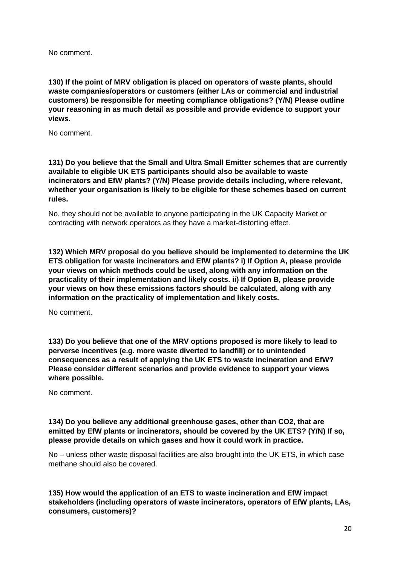**130) If the point of MRV obligation is placed on operators of waste plants, should waste companies/operators or customers (either LAs or commercial and industrial customers) be responsible for meeting compliance obligations? (Y/N) Please outline your reasoning in as much detail as possible and provide evidence to support your views.** 

No comment.

**131) Do you believe that the Small and Ultra Small Emitter schemes that are currently available to eligible UK ETS participants should also be available to waste incinerators and EfW plants? (Y/N) Please provide details including, where relevant, whether your organisation is likely to be eligible for these schemes based on current rules.**

No, they should not be available to anyone participating in the UK Capacity Market or contracting with network operators as they have a market-distorting effect.

**132) Which MRV proposal do you believe should be implemented to determine the UK ETS obligation for waste incinerators and EfW plants? i) If Option A, please provide your views on which methods could be used, along with any information on the practicality of their implementation and likely costs. ii) If Option B, please provide your views on how these emissions factors should be calculated, along with any information on the practicality of implementation and likely costs.**

No comment.

**133) Do you believe that one of the MRV options proposed is more likely to lead to perverse incentives (e.g. more waste diverted to landfill) or to unintended consequences as a result of applying the UK ETS to waste incineration and EfW? Please consider different scenarios and provide evidence to support your views where possible.** 

No comment.

#### **134) Do you believe any additional greenhouse gases, other than CO2, that are emitted by EfW plants or incinerators, should be covered by the UK ETS? (Y/N) If so, please provide details on which gases and how it could work in practice.**

No – unless other waste disposal facilities are also brought into the UK ETS, in which case methane should also be covered.

**135) How would the application of an ETS to waste incineration and EfW impact stakeholders (including operators of waste incinerators, operators of EfW plants, LAs, consumers, customers)?**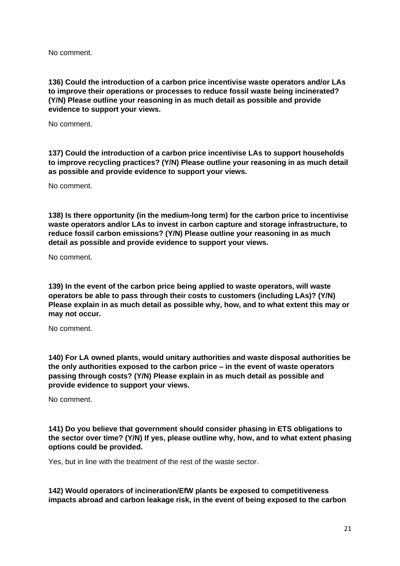**136) Could the introduction of a carbon price incentivise waste operators and/or LAs to improve their operations or processes to reduce fossil waste being incinerated? (Y/N) Please outline your reasoning in as much detail as possible and provide evidence to support your views.**

No comment.

**137) Could the introduction of a carbon price incentivise LAs to support households to improve recycling practices? (Y/N) Please outline your reasoning in as much detail as possible and provide evidence to support your views.** 

No comment.

**138) Is there opportunity (in the medium-long term) for the carbon price to incentivise waste operators and/or LAs to invest in carbon capture and storage infrastructure, to reduce fossil carbon emissions? (Y/N) Please outline your reasoning in as much detail as possible and provide evidence to support your views.**

No comment.

**139) In the event of the carbon price being applied to waste operators, will waste operators be able to pass through their costs to customers (including LAs)? (Y/N) Please explain in as much detail as possible why, how, and to what extent this may or may not occur.** 

No comment.

**140) For LA owned plants, would unitary authorities and waste disposal authorities be the only authorities exposed to the carbon price – in the event of waste operators passing through costs? (Y/N) Please explain in as much detail as possible and provide evidence to support your views.** 

No comment.

**141) Do you believe that government should consider phasing in ETS obligations to the sector over time? (Y/N) If yes, please outline why, how, and to what extent phasing options could be provided.** 

Yes, but in line with the treatment of the rest of the waste sector.

**142) Would operators of incineration/EfW plants be exposed to competitiveness impacts abroad and carbon leakage risk, in the event of being exposed to the carbon**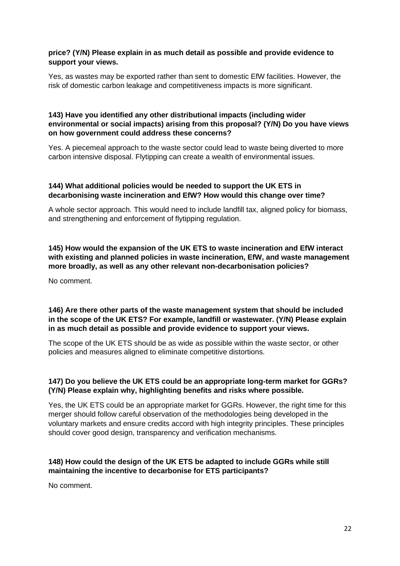## **price? (Y/N) Please explain in as much detail as possible and provide evidence to support your views.**

Yes, as wastes may be exported rather than sent to domestic EfW facilities. However, the risk of domestic carbon leakage and competitiveness impacts is more significant.

## **143) Have you identified any other distributional impacts (including wider environmental or social impacts) arising from this proposal? (Y/N) Do you have views on how government could address these concerns?**

Yes. A piecemeal approach to the waste sector could lead to waste being diverted to more carbon intensive disposal. Flytipping can create a wealth of environmental issues.

#### **144) What additional policies would be needed to support the UK ETS in decarbonising waste incineration and EfW? How would this change over time?**

A whole sector approach. This would need to include landfill tax, aligned policy for biomass, and strengthening and enforcement of flytipping regulation.

**145) How would the expansion of the UK ETS to waste incineration and EfW interact with existing and planned policies in waste incineration, EfW, and waste management more broadly, as well as any other relevant non-decarbonisation policies?** 

No comment.

## **146) Are there other parts of the waste management system that should be included in the scope of the UK ETS? For example, landfill or wastewater. (Y/N) Please explain in as much detail as possible and provide evidence to support your views.**

The scope of the UK ETS should be as wide as possible within the waste sector, or other policies and measures aligned to eliminate competitive distortions.

# **147) Do you believe the UK ETS could be an appropriate long-term market for GGRs? (Y/N) Please explain why, highlighting benefits and risks where possible.**

Yes, the UK ETS could be an appropriate market for GGRs. However, the right time for this merger should follow careful observation of the methodologies being developed in the voluntary markets and ensure credits accord with high integrity principles. These principles should cover good design, transparency and verification mechanisms.

# **148) How could the design of the UK ETS be adapted to include GGRs while still maintaining the incentive to decarbonise for ETS participants?**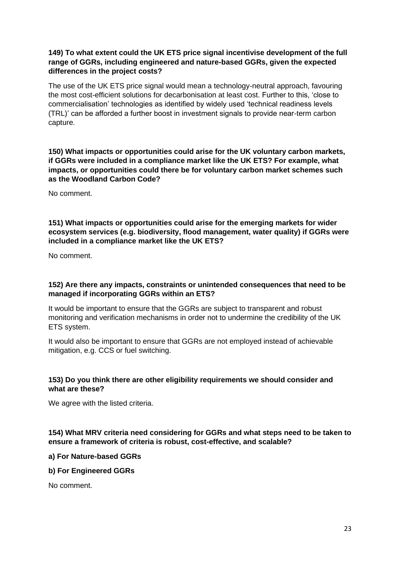## **149) To what extent could the UK ETS price signal incentivise development of the full range of GGRs, including engineered and nature-based GGRs, given the expected differences in the project costs?**

The use of the UK ETS price signal would mean a technology-neutral approach, favouring the most cost-efficient solutions for decarbonisation at least cost. Further to this, 'close to commercialisation' technologies as identified by widely used 'technical readiness levels (TRL)' can be afforded a further boost in investment signals to provide near-term carbon capture.

**150) What impacts or opportunities could arise for the UK voluntary carbon markets, if GGRs were included in a compliance market like the UK ETS? For example, what impacts, or opportunities could there be for voluntary carbon market schemes such as the Woodland Carbon Code?** 

No comment.

**151) What impacts or opportunities could arise for the emerging markets for wider ecosystem services (e.g. biodiversity, flood management, water quality) if GGRs were included in a compliance market like the UK ETS?** 

No comment.

# **152) Are there any impacts, constraints or unintended consequences that need to be managed if incorporating GGRs within an ETS?**

It would be important to ensure that the GGRs are subject to transparent and robust monitoring and verification mechanisms in order not to undermine the credibility of the UK ETS system.

It would also be important to ensure that GGRs are not employed instead of achievable mitigation, e.g. CCS or fuel switching.

# **153) Do you think there are other eligibility requirements we should consider and what are these?**

We agree with the listed criteria.

**154) What MRV criteria need considering for GGRs and what steps need to be taken to ensure a framework of criteria is robust, cost-effective, and scalable?** 

**a) For Nature-based GGRs** 

**b) For Engineered GGRs**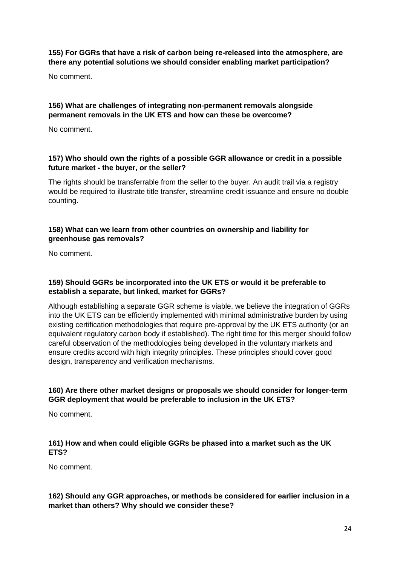## **155) For GGRs that have a risk of carbon being re-released into the atmosphere, are there any potential solutions we should consider enabling market participation?**

No comment.

## **156) What are challenges of integrating non-permanent removals alongside permanent removals in the UK ETS and how can these be overcome?**

No comment.

# **157) Who should own the rights of a possible GGR allowance or credit in a possible future market - the buyer, or the seller?**

The rights should be transferrable from the seller to the buyer. An audit trail via a registry would be required to illustrate title transfer, streamline credit issuance and ensure no double counting.

## **158) What can we learn from other countries on ownership and liability for greenhouse gas removals?**

No comment.

#### **159) Should GGRs be incorporated into the UK ETS or would it be preferable to establish a separate, but linked, market for GGRs?**

Although establishing a separate GGR scheme is viable, we believe the integration of GGRs into the UK ETS can be efficiently implemented with minimal administrative burden by using existing certification methodologies that require pre-approval by the UK ETS authority (or an equivalent regulatory carbon body if established). The right time for this merger should follow careful observation of the methodologies being developed in the voluntary markets and ensure credits accord with high integrity principles. These principles should cover good design, transparency and verification mechanisms.

# **160) Are there other market designs or proposals we should consider for longer-term GGR deployment that would be preferable to inclusion in the UK ETS?**

No comment.

# **161) How and when could eligible GGRs be phased into a market such as the UK ETS?**

No comment.

# **162) Should any GGR approaches, or methods be considered for earlier inclusion in a market than others? Why should we consider these?**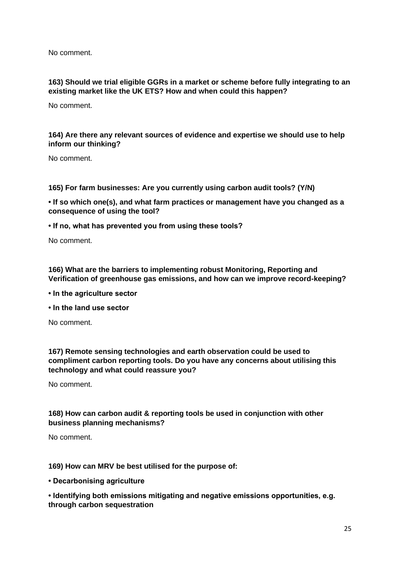## **163) Should we trial eligible GGRs in a market or scheme before fully integrating to an existing market like the UK ETS? How and when could this happen?**

No comment.

## **164) Are there any relevant sources of evidence and expertise we should use to help inform our thinking?**

No comment.

**165) For farm businesses: Are you currently using carbon audit tools? (Y/N)** 

**• If so which one(s), and what farm practices or management have you changed as a consequence of using the tool?** 

**• If no, what has prevented you from using these tools?** 

No comment.

**166) What are the barriers to implementing robust Monitoring, Reporting and Verification of greenhouse gas emissions, and how can we improve record-keeping?** 

- **In the agriculture sector**
- **In the land use sector**

No comment.

**167) Remote sensing technologies and earth observation could be used to compliment carbon reporting tools. Do you have any concerns about utilising this technology and what could reassure you?** 

No comment.

#### **168) How can carbon audit & reporting tools be used in conjunction with other business planning mechanisms?**

No comment.

#### **169) How can MRV be best utilised for the purpose of:**

**• Decarbonising agriculture** 

**• Identifying both emissions mitigating and negative emissions opportunities, e.g. through carbon sequestration**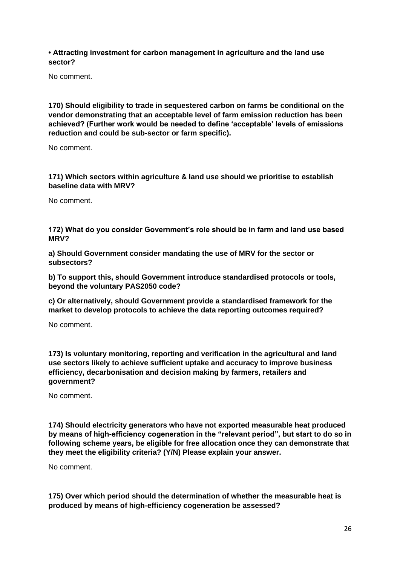**• Attracting investment for carbon management in agriculture and the land use sector?** 

No comment.

**170) Should eligibility to trade in sequestered carbon on farms be conditional on the vendor demonstrating that an acceptable level of farm emission reduction has been achieved? (Further work would be needed to define 'acceptable' levels of emissions reduction and could be sub-sector or farm specific).** 

No comment.

**171) Which sectors within agriculture & land use should we prioritise to establish baseline data with MRV?** 

No comment.

**172) What do you consider Government's role should be in farm and land use based MRV?** 

**a) Should Government consider mandating the use of MRV for the sector or subsectors?** 

**b) To support this, should Government introduce standardised protocols or tools, beyond the voluntary PAS2050 code?** 

**c) Or alternatively, should Government provide a standardised framework for the market to develop protocols to achieve the data reporting outcomes required?**

No comment.

**173) Is voluntary monitoring, reporting and verification in the agricultural and land use sectors likely to achieve sufficient uptake and accuracy to improve business efficiency, decarbonisation and decision making by farmers, retailers and government?**

No comment.

**174) Should electricity generators who have not exported measurable heat produced by means of high-efficiency cogeneration in the "relevant period", but start to do so in following scheme years, be eligible for free allocation once they can demonstrate that they meet the eligibility criteria? (Y/N) Please explain your answer.** 

No comment.

**175) Over which period should the determination of whether the measurable heat is produced by means of high-efficiency cogeneration be assessed?**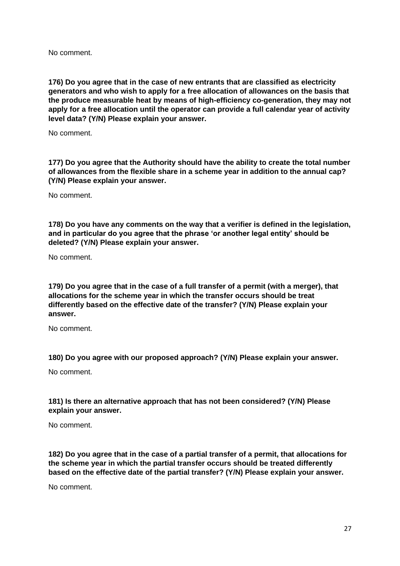**176) Do you agree that in the case of new entrants that are classified as electricity generators and who wish to apply for a free allocation of allowances on the basis that the produce measurable heat by means of high-efficiency co-generation, they may not apply for a free allocation until the operator can provide a full calendar year of activity level data? (Y/N) Please explain your answer.**

No comment.

**177) Do you agree that the Authority should have the ability to create the total number of allowances from the flexible share in a scheme year in addition to the annual cap? (Y/N) Please explain your answer.**

No comment.

**178) Do you have any comments on the way that a verifier is defined in the legislation, and in particular do you agree that the phrase 'or another legal entity' should be deleted? (Y/N) Please explain your answer.**

No comment.

**179) Do you agree that in the case of a full transfer of a permit (with a merger), that allocations for the scheme year in which the transfer occurs should be treat differently based on the effective date of the transfer? (Y/N) Please explain your answer.** 

No comment.

**180) Do you agree with our proposed approach? (Y/N) Please explain your answer.** 

No comment.

**181) Is there an alternative approach that has not been considered? (Y/N) Please explain your answer.**

No comment.

**182) Do you agree that in the case of a partial transfer of a permit, that allocations for the scheme year in which the partial transfer occurs should be treated differently based on the effective date of the partial transfer? (Y/N) Please explain your answer.**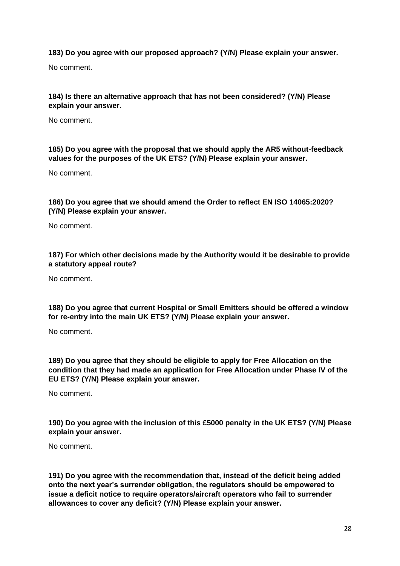# **183) Do you agree with our proposed approach? (Y/N) Please explain your answer.**

No comment.

# **184) Is there an alternative approach that has not been considered? (Y/N) Please explain your answer.**

No comment.

# **185) Do you agree with the proposal that we should apply the AR5 without-feedback values for the purposes of the UK ETS? (Y/N) Please explain your answer.**

No comment.

# **186) Do you agree that we should amend the Order to reflect EN ISO 14065:2020? (Y/N) Please explain your answer.**

No comment.

## **187) For which other decisions made by the Authority would it be desirable to provide a statutory appeal route?**

No comment.

**188) Do you agree that current Hospital or Small Emitters should be offered a window for re-entry into the main UK ETS? (Y/N) Please explain your answer.** 

No comment.

**189) Do you agree that they should be eligible to apply for Free Allocation on the condition that they had made an application for Free Allocation under Phase IV of the EU ETS? (Y/N) Please explain your answer.**

No comment.

**190) Do you agree with the inclusion of this £5000 penalty in the UK ETS? (Y/N) Please explain your answer.**

No comment.

**191) Do you agree with the recommendation that, instead of the deficit being added onto the next year's surrender obligation, the regulators should be empowered to issue a deficit notice to require operators/aircraft operators who fail to surrender allowances to cover any deficit? (Y/N) Please explain your answer.**